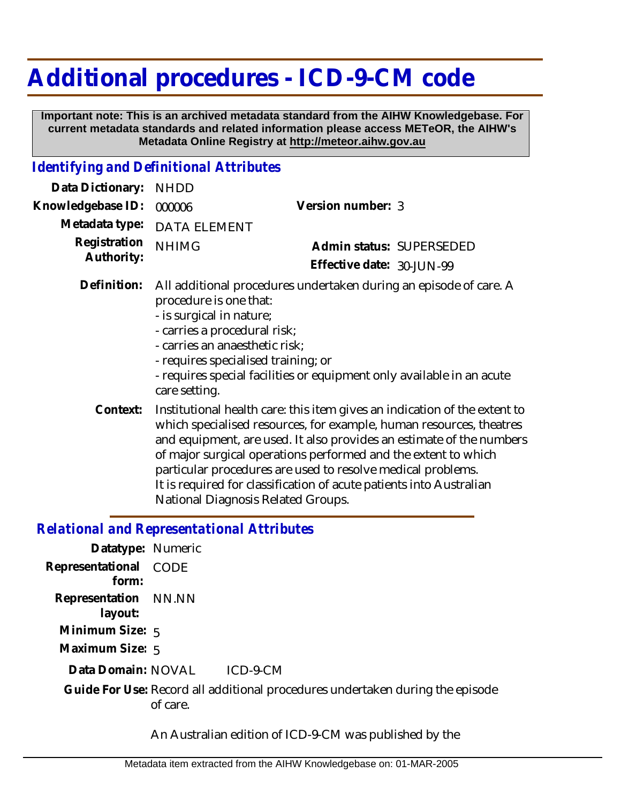## **Additional procedures - ICD-9-CM code**

 **Important note: This is an archived metadata standard from the AIHW Knowledgebase. For current metadata standards and related information please access METeOR, the AIHW's Metadata Online Registry at http://meteor.aihw.gov.au**

## *Identifying and Definitional Attributes*

| Data Dictionary:           | <b>NHDD</b>                                                                                                                                                                                                                                                                                                                                                                                                                                                                   |                                                                                                                                            |
|----------------------------|-------------------------------------------------------------------------------------------------------------------------------------------------------------------------------------------------------------------------------------------------------------------------------------------------------------------------------------------------------------------------------------------------------------------------------------------------------------------------------|--------------------------------------------------------------------------------------------------------------------------------------------|
| Knowledgebase ID:          | 000006                                                                                                                                                                                                                                                                                                                                                                                                                                                                        | Version number: 3                                                                                                                          |
| Metadata type:             | <b>DATA ELEMENT</b>                                                                                                                                                                                                                                                                                                                                                                                                                                                           |                                                                                                                                            |
| Registration<br>Authority: | <b>NHIMG</b>                                                                                                                                                                                                                                                                                                                                                                                                                                                                  | Admin status: SUPERSEDED                                                                                                                   |
|                            |                                                                                                                                                                                                                                                                                                                                                                                                                                                                               | Effective date: 30-JUN-99                                                                                                                  |
| Definition:                | procedure is one that:<br>- is surgical in nature;<br>- carries a procedural risk;<br>- carries an anaesthetic risk;<br>- requires specialised training; or<br>care setting.                                                                                                                                                                                                                                                                                                  | All additional procedures undertaken during an episode of care. A<br>- requires special facilities or equipment only available in an acute |
| Context:                   | Institutional health care: this item gives an indication of the extent to<br>which specialised resources, for example, human resources, theatres<br>and equipment, are used. It also provides an estimate of the numbers<br>of major surgical operations performed and the extent to which<br>particular procedures are used to resolve medical problems.<br>It is required for classification of acute patients into Australian<br><b>National Diagnosis Related Groups.</b> |                                                                                                                                            |

## *Relational and Representational Attributes*

| Datatype: Numeric     |                                                                                           |
|-----------------------|-------------------------------------------------------------------------------------------|
| Representational CODE |                                                                                           |
| form:                 |                                                                                           |
| Representation NN.NN  |                                                                                           |
| layout:               |                                                                                           |
| Minimum Size: $5$     |                                                                                           |
| Maximum Size: 5       |                                                                                           |
| Data Domain: NOVAL    | ICD-9-CM                                                                                  |
|                       | Guide For Use: Record all additional procedures undertaken during the episode<br>of care. |
|                       |                                                                                           |

An Australian edition of ICD-9-CM was published by the